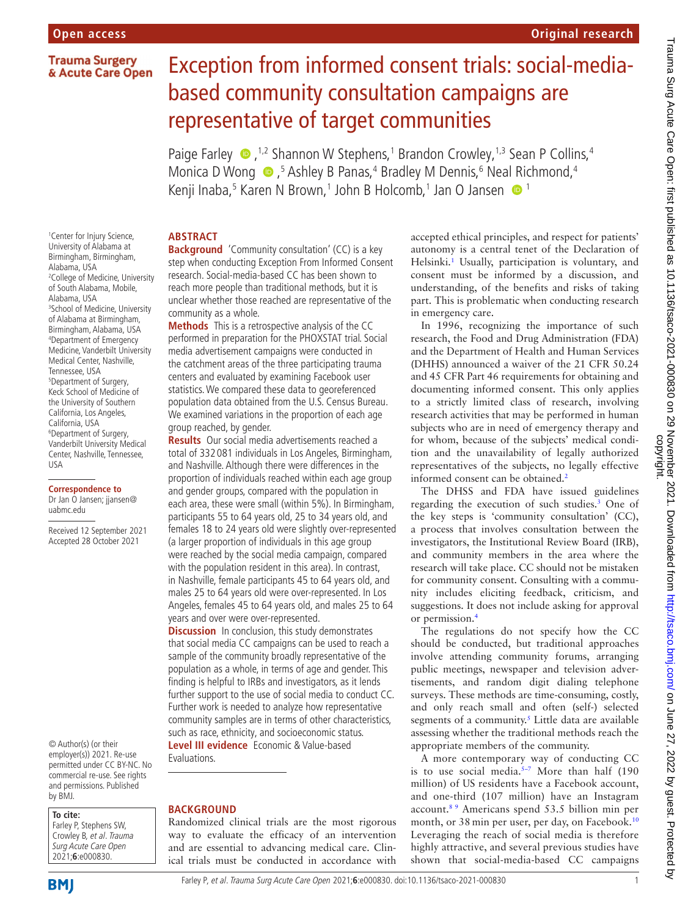## **Trauma Surgery** & Acute Care Open

# Exception from informed consent trials: social-mediabased community consultation campaigns are representative of target communities

Paige Farley  $\bullet$  ,<sup>1,2</sup> Shannon W Stephens,<sup>1</sup> Brandon Crowley,<sup>1,3</sup> Sean P Collins,<sup>4</sup> MonicaD Wong  $\bigcirc$ ,<sup>5</sup> Ashley B Panas,<sup>4</sup> Bradley M Dennis,<sup>6</sup> Neal Richmond,<sup>4</sup> Kenji Inaba,<sup>5</sup> Karen N Brown,<sup>1</sup> John B Holcomb,<sup>1</sup> Jan O Jansen **O** 1

## **ABSTRACT**

1 Center for Injury Science, University of Alabama at Birmingham, Birmingham, Alabama, USA 2 College of Medicine, University of South Alabama, Mobile, Alabama, USA 3 School of Medicine, University of Alabama at Birmingham, Birmingham, Alabama, USA 4 Department of Emergency Medicine, Vanderbilt University Medical Center, Nashville, Tennessee, USA 5 Department of Surgery, Keck School of Medicine of the University of Southern California, Los Angeles, California, USA 6 Department of Surgery, Vanderbilt University Medical Center, Nashville, Tennessee, USA

#### **Correspondence to**

Dr Jan O Jansen; jjansen@ uabmc.edu

Received 12 September 2021 Accepted 28 October 2021

© Author(s) (or their employer(s)) 2021. Re-use permitted under CC BY-NC. No commercial re-use. See rights and permissions. Published by BMJ.

Farley P, Stephens SW, Crowley B, et al. Trauma Surg Acute Care Open 2021;**6**:e000830.

**Background** 'Community consultation' (CC) is a key step when conducting Exception From Informed Consent research. Social-media-based CC has been shown to reach more people than traditional methods, but it is unclear whether those reached are representative of the community as a whole.

**Methods** This is a retrospective analysis of the CC performed in preparation for the PHOXSTAT trial. Social media advertisement campaigns were conducted in the catchment areas of the three participating trauma centers and evaluated by examining Facebook user statistics. We compared these data to georeferenced population data obtained from the U.S. Census Bureau. We examined variations in the proportion of each age group reached, by gender.

**Results** Our social media advertisements reached a total of 332 081 individuals in Los Angeles, Birmingham, and Nashville. Although there were differences in the proportion of individuals reached within each age group and gender groups, compared with the population in each area, these were small (within 5%). In Birmingham, participants 55 to 64 years old, 25 to 34 years old, and females 18 to 24 years old were slightly over-represented (a larger proportion of individuals in this age group were reached by the social media campaign, compared with the population resident in this area). In contrast, in Nashville, female participants 45 to 64 years old, and males 25 to 64 years old were over-represented. In Los Angeles, females 45 to 64 years old, and males 25 to 64 years and over were over-represented.

**Discussion** In conclusion, this study demonstrates that social media CC campaigns can be used to reach a sample of the community broadly representative of the population as a whole, in terms of age and gender. This finding is helpful to IRBs and investigators, as it lends further support to the use of social media to conduct CC. Further work is needed to analyze how representative community samples are in terms of other characteristics, such as race, ethnicity, and socioeconomic status. **Level III evidence** Economic & Value-based

Evaluations.

#### **BACKGROUND**

Randomized clinical trials are the most rigorous way to evaluate the efficacy of an intervention and are essential to advancing medical care. Clinical trials must be conducted in accordance with accepted ethical principles, and respect for patients' autonomy is a central tenet of the Declaration of Helsinki.<sup>1</sup> Usually, participation is voluntary, and consent must be informed by a discussion, and understanding, of the benefits and risks of taking part. This is problematic when conducting research in emergency care.

In 1996, recognizing the importance of such research, the Food and Drug Administration (FDA) and the Department of Health and Human Services (DHHS) announced a waiver of the 21 CFR 50.24 and 45 CFR Part 46 requirements for obtaining and documenting informed consent. This only applies to a strictly limited class of research, involving research activities that may be performed in human subjects who are in need of emergency therapy and for whom, because of the subjects' medical condition and the unavailability of legally authorized representatives of the subjects, no legally effective informed consent can be obtained.<sup>2</sup>

The DHSS and FDA have issued guidelines regarding the execution of such studies[.3](#page-4-1) One of the key steps is 'community consultation' (CC), a process that involves consultation between the investigators, the Institutional Review Board (IRB), and community members in the area where the research will take place. CC should not be mistaken for community consent. Consulting with a community includes eliciting feedback, criticism, and suggestions. It does not include asking for approval or permission[.4](#page-4-2)

The regulations do not specify how the CC should be conducted, but traditional approaches involve attending community forums, arranging public meetings, newspaper and television advertisements, and random digit dialing telephone surveys. These methods are time-consuming, costly, and only reach small and often (self-) selected segments of a community.<sup>[5](#page-4-3)</sup> Little data are available assessing whether the traditional methods reach the appropriate members of the community.

A more contemporary way of conducting CC is to use social media.<sup>5-7</sup> More than half (190 million) of US residents have a Facebook account, and one-third (107 million) have an Instagram account.[8 9](#page-4-4) Americans spend 53.5 billion min per month, or 38 min per user, per day, on Facebook.<sup>10</sup> Leveraging the reach of social media is therefore highly attractive, and several previous studies have shown that social-media-based CC campaigns

**To cite:**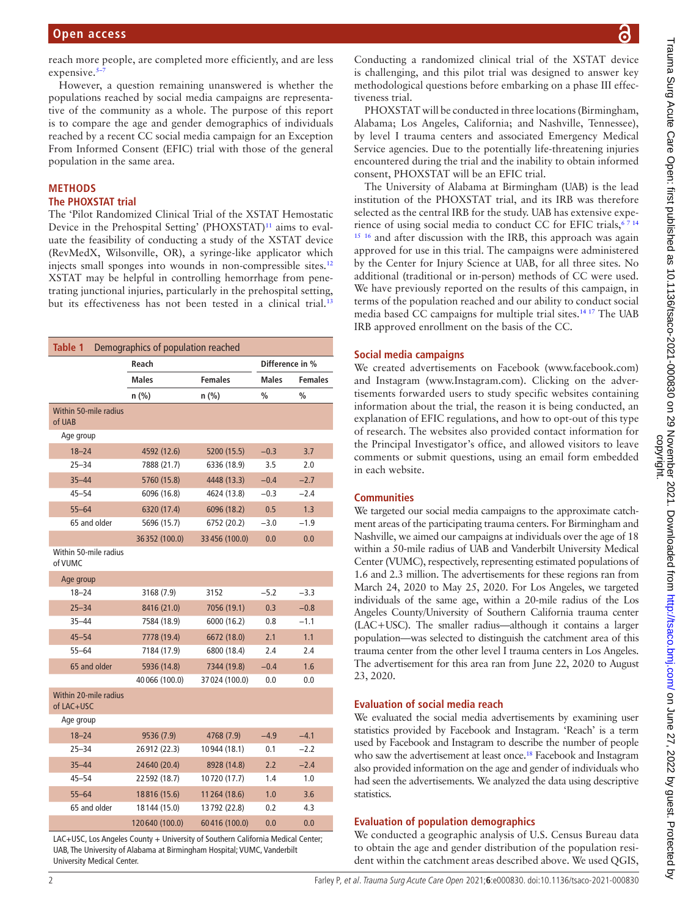reach more people, are completed more efficiently, and are less expensive. $5-7$ 

However, a question remaining unanswered is whether the populations reached by social media campaigns are representative of the community as a whole. The purpose of this report is to compare the age and gender demographics of individuals reached by a recent CC social media campaign for an Exception From Informed Consent (EFIC) trial with those of the general population in the same area.

## **METHODS The PHOXSTAT trial**

The 'Pilot Randomized Clinical Trial of the XSTAT Hemostatic Device in the Prehospital Setting' (PHOXSTAT)<sup>11</sup> aims to evaluate the feasibility of conducting a study of the XSTAT device (RevMedX, Wilsonville, OR), a syringe-like applicator which injects small sponges into wounds in non-compressible sites.<sup>[12](#page-4-7)</sup> XSTAT may be helpful in controlling hemorrhage from penetrating junctional injuries, particularly in the prehospital setting, but its effectiveness has not been tested in a clinical trial.<sup>[13](#page-4-8)</sup>

<span id="page-1-0"></span>

| Table 1<br>Demographics of population reached                                   |                |                |                 |                |  |
|---------------------------------------------------------------------------------|----------------|----------------|-----------------|----------------|--|
|                                                                                 | Reach          |                | Difference in % |                |  |
|                                                                                 | <b>Males</b>   | <b>Females</b> | <b>Males</b>    | <b>Females</b> |  |
|                                                                                 | n (%)          | n (%)          | $\frac{0}{0}$   | $\frac{0}{0}$  |  |
| Within 50-mile radius<br>of UAB                                                 |                |                |                 |                |  |
| Age group                                                                       |                |                |                 |                |  |
| $18 - 24$                                                                       | 4592 (12.6)    | 5200 (15.5)    | $-0.3$          | 3.7            |  |
| $25 - 34$                                                                       | 7888 (21.7)    | 6336 (18.9)    | 3.5             | 2.0            |  |
| $35 - 44$                                                                       | 5760 (15.8)    | 4448 (13.3)    | $-0.4$          | $-2.7$         |  |
| $45 - 54$                                                                       | 6096 (16.8)    | 4624 (13.8)    | $-0.3$          | $-2.4$         |  |
| $55 - 64$                                                                       | 6320 (17.4)    | 6096 (18.2)    | 0.5             | 1.3            |  |
| 65 and older                                                                    | 5696 (15.7)    | 6752 (20.2)    | $-3.0$          | $-1.9$         |  |
|                                                                                 | 36352 (100.0)  | 33 456 (100.0) | 0.0             | 0.0            |  |
| Within 50-mile radius<br>of VUMC                                                |                |                |                 |                |  |
| Age group                                                                       |                |                |                 |                |  |
| $18 - 24$                                                                       | 3168 (7.9)     | 3152           | $-5.2$          | $-3.3$         |  |
| $25 - 34$                                                                       | 8416 (21.0)    | 7056 (19.1)    | 0.3             | $-0.8$         |  |
| $35 - 44$                                                                       | 7584 (18.9)    | 6000 (16.2)    | 0.8             | $-1.1$         |  |
| $45 - 54$                                                                       | 7778 (19.4)    | 6672 (18.0)    | 2.1             | 1.1            |  |
| $55 - 64$                                                                       | 7184 (17.9)    | 6800 (18.4)    | 2.4             | 2.4            |  |
| 65 and older                                                                    | 5936 (14.8)    | 7344 (19.8)    | $-0.4$          | 1.6            |  |
|                                                                                 | 40 066 (100.0) | 37024 (100.0)  | 0.0             | 0.0            |  |
| Within 20-mile radius<br>of LAC+USC                                             |                |                |                 |                |  |
| Age group                                                                       |                |                |                 |                |  |
| $18 - 24$                                                                       | 9536 (7.9)     | 4768 (7.9)     | $-4.9$          | $-4.1$         |  |
| $25 - 34$                                                                       | 26912 (22.3)   | 10944 (18.1)   | 0.1             | $-2.2$         |  |
| $35 - 44$                                                                       | 24640 (20.4)   | 8928 (14.8)    | 2.2             | $-2.4$         |  |
| $45 - 54$                                                                       | 22 592 (18.7)  | 10720 (17.7)   | 1.4             | 1.0            |  |
| $55 - 64$                                                                       | 18816 (15.6)   | 11264 (18.6)   | 1.0             | 3.6            |  |
| 65 and older                                                                    | 18144 (15.0)   | 13792 (22.8)   | 0.2             | 4.3            |  |
|                                                                                 | 120640 (100.0) | 60416 (100.0)  | 0.0             | 0.0            |  |
| LAC+USC, Los Angeles County + University of Southern California Medical Center; |                |                |                 |                |  |

UAB, The University of Alabama at Birmingham Hospital; VUMC, Vanderbilt University Medical Center.

Conducting a randomized clinical trial of the XSTAT device is challenging, and this pilot trial was designed to answer key methodological questions before embarking on a phase III effectiveness trial.

PHOXSTAT will be conducted in three locations (Birmingham, Alabama; Los Angeles, California; and Nashville, Tennessee), by level I trauma centers and associated Emergency Medical Service agencies. Due to the potentially life-threatening injuries encountered during the trial and the inability to obtain informed consent, PHOXSTAT will be an EFIC trial.

The University of Alabama at Birmingham (UAB) is the lead institution of the PHOXSTAT trial, and its IRB was therefore selected as the central IRB for the study. UAB has extensive experience of using social media to conduct CC for EFIC trials, 67 14 <sup>[15](#page-4-10) [16](#page-4-11)</sup> and after discussion with the IRB, this approach was again approved for use in this trial. The campaigns were administered by the Center for Injury Science at UAB, for all three sites. No additional (traditional or in-person) methods of CC were used. We have previously reported on the results of this campaign, in terms of the population reached and our ability to conduct social media based CC campaigns for multiple trial sites.<sup>14 17</sup> The UAB IRB approved enrollment on the basis of the CC.

## **Social media campaigns**

We created advertisements on Facebook (<www.facebook.com>) and Instagram (<www.Instagram.com>). Clicking on the advertisements forwarded users to study specific websites containing information about the trial, the reason it is being conducted, an explanation of EFIC regulations, and how to opt-out of this type of research. The websites also provided contact information for the Principal Investigator's office, and allowed visitors to leave comments or submit questions, using an email form embedded in each website.

## **Communities**

We targeted our social media campaigns to the approximate catchment areas of the participating trauma centers. For Birmingham and Nashville, we aimed our campaigns at individuals over the age of 18 within a 50-mile radius of UAB and Vanderbilt University Medical Center (VUMC), respectively, representing estimated populations of 1.6 and 2.3 million. The advertisements for these regions ran from March 24, 2020 to May 25, 2020. For Los Angeles, we targeted individuals of the same age, within a 20-mile radius of the Los Angeles County/University of Southern California trauma center (LAC+USC). The smaller radius—although it contains a larger population—was selected to distinguish the catchment area of this trauma center from the other level I trauma centers in Los Angeles. The advertisement for this area ran from June 22, 2020 to August 23, 2020.

## **Evaluation of social media reach**

We evaluated the social media advertisements by examining user statistics provided by Facebook and Instagram. 'Reach' is a term used by Facebook and Instagram to describe the number of people who saw the advertisement at least once.<sup>[18](#page-4-13)</sup> Facebook and Instagram also provided information on the age and gender of individuals who had seen the advertisements. We analyzed the data using descriptive statistics.

## **Evaluation of population demographics**

We conducted a geographic analysis of U.S. Census Bureau data to obtain the age and gender distribution of the population resident within the catchment areas described above. We used QGIS,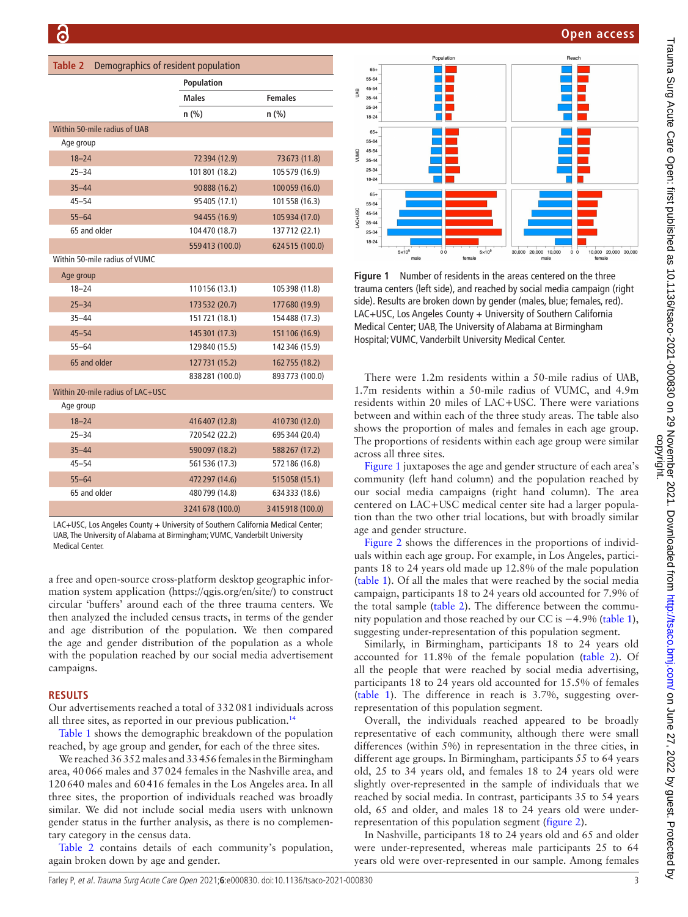<span id="page-2-0"></span>

| <b>Table 2</b><br>Demographics of resident population |                 |                 |  |
|-------------------------------------------------------|-----------------|-----------------|--|
|                                                       | Population      |                 |  |
|                                                       | <b>Males</b>    | <b>Females</b>  |  |
|                                                       | n (%)           | $n$ (%)         |  |
| Within 50-mile radius of UAB                          |                 |                 |  |
| Age group                                             |                 |                 |  |
| $18 - 24$                                             | 72 394 (12.9)   | 73673 (11.8)    |  |
| $25 - 34$                                             | 101801 (18.2)   | 105 579 (16.9)  |  |
| $35 - 44$                                             | 90888 (16.2)    | 100059 (16.0)   |  |
| $45 - 54$                                             | 95 405 (17.1)   | 101558 (16.3)   |  |
| $55 - 64$                                             | 94455 (16.9)    | 105 934 (17.0)  |  |
| 65 and older                                          | 104470 (18.7)   | 137712 (22.1)   |  |
|                                                       | 559413 (100.0)  | 624515 (100.0)  |  |
| Within 50-mile radius of VUMC                         |                 |                 |  |
| Age group                                             |                 |                 |  |
| $18 - 24$                                             | 110156 (13.1)   | 105398 (11.8)   |  |
| $25 - 34$                                             | 173532 (20.7)   | 177680 (19.9)   |  |
| 35–44                                                 | 151721 (18.1)   | 154488 (17.3)   |  |
| $45 - 54$                                             | 145 301 (17.3)  | 151106 (16.9)   |  |
| $55 - 64$                                             | 129840 (15.5)   | 142 346 (15.9)  |  |
| 65 and older                                          | 127731 (15.2)   | 162 755 (18.2)  |  |
|                                                       | 838281 (100.0)  | 893 773 (100.0) |  |
| Within 20-mile radius of LAC+USC                      |                 |                 |  |
| Age group                                             |                 |                 |  |
| $18 - 24$                                             | 416407 (12.8)   | 410730 (12.0)   |  |
| $25 - 34$                                             | 720542 (22.2)   | 695 344 (20.4)  |  |
| $35 - 44$                                             | 590097 (18.2)   | 588267 (17.2)   |  |
| $45 - 54$                                             | 561 536 (17.3)  | 572 186 (16.8)  |  |
| $55 - 64$                                             | 472 297 (14.6)  | 515058 (15.1)   |  |
| 65 and older                                          | 480799 (14.8)   | 634333 (18.6)   |  |
|                                                       | 3241678 (100.0) | 3415918 (100.0) |  |

UAB, The University of Alabama at Birmingham; VUMC, Vanderbilt University Medical Center.

a free and open-source cross-platform desktop geographic information system application (<https://qgis.org/en/site/>) to construct circular 'buffers' around each of the three trauma centers. We then analyzed the included census tracts, in terms of the gender and age distribution of the population. We then compared the age and gender distribution of the population as a whole with the population reached by our social media advertisement campaigns.

#### **RESULTS**

Our advertisements reached a total of 332081 individuals across all three sites, as reported in our previous publication.<sup>14</sup>

[Table](#page-1-0) 1 shows the demographic breakdown of the population reached, by age group and gender, for each of the three sites.

We reached 36352 males and 33456 females in the Birmingham area, 40066 males and 37024 females in the Nashville area, and 120640 males and 60416 females in the Los Angeles area. In all three sites, the proportion of individuals reached was broadly similar. We did not include social media users with unknown gender status in the further analysis, as there is no complementary category in the census data.

[Table](#page-2-0) 2 contains details of each community's population, again broken down by age and gender.

**Open access**



<span id="page-2-1"></span>**Figure 1** Number of residents in the areas centered on the three trauma centers (left side), and reached by social media campaign (right side). Results are broken down by gender (males, blue; females, red). LAC+USC, Los Angeles County + University of Southern California Medical Center; UAB, The University of Alabama at Birmingham Hospital; VUMC, Vanderbilt University Medical Center.

There were 1.2m residents within a 50-mile radius of UAB, 1.7m residents within a 50-mile radius of VUMC, and 4.9m residents within 20 miles of LAC+USC. There were variations between and within each of the three study areas. The table also shows the proportion of males and females in each age group. The proportions of residents within each age group were similar across all three sites.

[Figure](#page-2-1) 1 juxtaposes the age and gender structure of each area's community (left hand column) and the population reached by our social media campaigns (right hand column). The area centered on LAC+USC medical center site had a larger population than the two other trial locations, but with broadly similar age and gender structure.

[Figure](#page-3-0) 2 shows the differences in the proportions of individuals within each age group. For example, in Los Angeles, participants 18 to 24 years old made up 12.8% of the male population ([table](#page-1-0) 1). Of all the males that were reached by the social media campaign, participants 18 to 24 years old accounted for 7.9% of the total sample ([table](#page-2-0) 2). The difference between the community population and those reached by our CC is −4.9% ([table](#page-1-0) 1), suggesting under-representation of this population segment.

Similarly, in Birmingham, participants 18 to 24 years old accounted for 11.8% of the female population ([table](#page-2-0) 2). Of all the people that were reached by social media advertising, participants 18 to 24 years old accounted for 15.5% of females ([table](#page-1-0) 1). The difference in reach is 3.7%, suggesting overrepresentation of this population segment.

Overall, the individuals reached appeared to be broadly representative of each community, although there were small differences (within 5%) in representation in the three cities, in different age groups. In Birmingham, participants 55 to 64 years old, 25 to 34 years old, and females 18 to 24 years old were slightly over-represented in the sample of individuals that we reached by social media. In contrast, participants 35 to 54 years old, 65 and older, and males 18 to 24 years old were underrepresentation of this population segment [\(figure](#page-3-0) 2).

In Nashville, participants 18 to 24 years old and 65 and older were under-represented, whereas male participants 25 to 64 years old were over-represented in our sample. Among females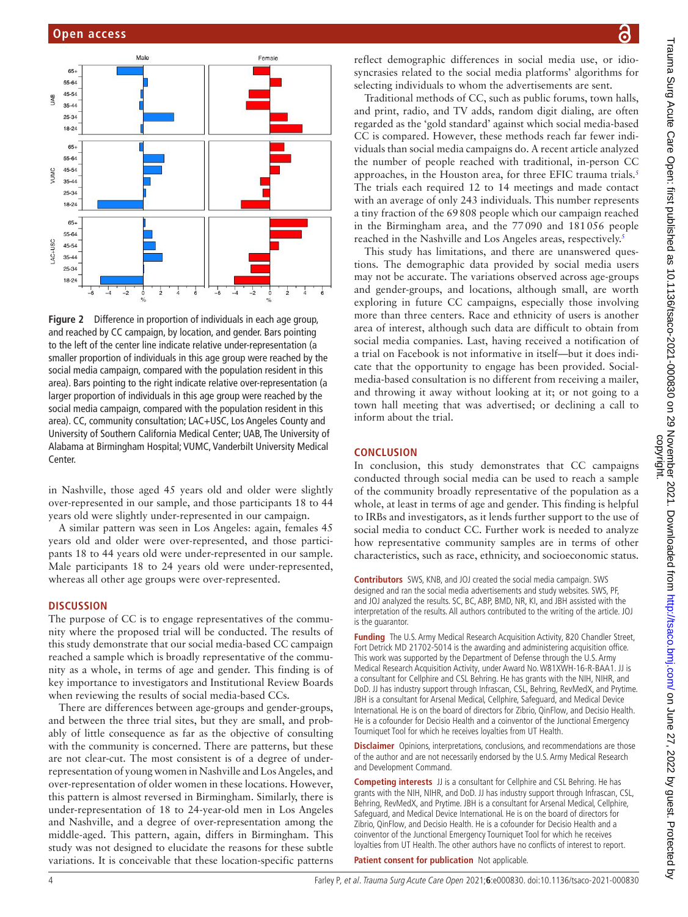

<span id="page-3-0"></span>**Figure 2** Difference in proportion of individuals in each age group, and reached by CC campaign, by location, and gender. Bars pointing to the left of the center line indicate relative under-representation (a smaller proportion of individuals in this age group were reached by the social media campaign, compared with the population resident in this area). Bars pointing to the right indicate relative over-representation (a larger proportion of individuals in this age group were reached by the social media campaign, compared with the population resident in this area). CC, community consultation; LAC+USC, Los Angeles County and University of Southern California Medical Center; UAB, The University of Alabama at Birmingham Hospital; VUMC, Vanderbilt University Medical Center.

in Nashville, those aged 45 years old and older were slightly over-represented in our sample, and those participants 18 to 44 years old were slightly under-represented in our campaign.

A similar pattern was seen in Los Angeles: again, females 45 years old and older were over-represented, and those participants 18 to 44 years old were under-represented in our sample. Male participants 18 to 24 years old were under-represented, whereas all other age groups were over-represented.

#### **DISCUSSION**

The purpose of CC is to engage representatives of the community where the proposed trial will be conducted. The results of this study demonstrate that our social media-based CC campaign reached a sample which is broadly representative of the community as a whole, in terms of age and gender. This finding is of key importance to investigators and Institutional Review Boards when reviewing the results of social media-based CCs.

There are differences between age-groups and gender-groups, and between the three trial sites, but they are small, and probably of little consequence as far as the objective of consulting with the community is concerned. There are patterns, but these are not clear-cut. The most consistent is of a degree of underrepresentation of young women in Nashville and Los Angeles, and over-representation of older women in these locations. However, this pattern is almost reversed in Birmingham. Similarly, there is under-representation of 18 to 24-year-old men in Los Angeles and Nashville, and a degree of over-representation among the middle-aged. This pattern, again, differs in Birmingham. This study was not designed to elucidate the reasons for these subtle variations. It is conceivable that these location-specific patterns

्र

reflect demographic differences in social media use, or idiosyncrasies related to the social media platforms' algorithms for selecting individuals to whom the advertisements are sent.

Traditional methods of CC, such as public forums, town halls, and print, radio, and TV adds, random digit dialing, are often regarded as the 'gold standard' against which social media-based CC is compared. However, these methods reach far fewer individuals than social media campaigns do. A recent article analyzed the number of people reached with traditional, in-person CC approaches, in the Houston area, for three EFIC trauma trials.<sup>5</sup> The trials each required 12 to 14 meetings and made contact with an average of only 243 individuals. This number represents a tiny fraction of the 69808 people which our campaign reached in the Birmingham area, and the 77090 and 181056 people reached in the Nashville and Los Angeles areas, respectively.<sup>[5](#page-4-3)</sup>

This study has limitations, and there are unanswered questions. The demographic data provided by social media users may not be accurate. The variations observed across age-groups and gender-groups, and locations, although small, are worth exploring in future CC campaigns, especially those involving more than three centers. Race and ethnicity of users is another area of interest, although such data are difficult to obtain from social media companies. Last, having received a notification of a trial on Facebook is not informative in itself—but it does indicate that the opportunity to engage has been provided. Socialmedia-based consultation is no different from receiving a mailer, and throwing it away without looking at it; or not going to a town hall meeting that was advertised; or declining a call to inform about the trial.

#### **CONCLUSION**

In conclusion, this study demonstrates that CC campaigns conducted through social media can be used to reach a sample of the community broadly representative of the population as a whole, at least in terms of age and gender. This finding is helpful to IRBs and investigators, as it lends further support to the use of social media to conduct CC. Further work is needed to analyze how representative community samples are in terms of other characteristics, such as race, ethnicity, and socioeconomic status.

**Contributors** SWS, KNB, and JOJ created the social media campaign. SWS designed and ran the social media advertisements and study websites. SWS, PF, and JOJ analyzed the results. SC, BC, ABP, BMD, NR, KI, and JBH assisted with the interpretation of the results. All authors contributed to the writing of the article. JOJ is the guarantor.

**Funding** The U.S. Army Medical Research Acquisition Activity, 820 Chandler Street, Fort Detrick MD 21702-5014 is the awarding and administering acquisition office. This work was supported by the Department of Defense through the U.S. Army Medical Research Acquisition Activity, under Award No. W81XWH-16-R-BAA1. JJ is a consultant for Cellphire and CSL Behring. He has grants with the NIH, NIHR, and DoD. JJ has industry support through Infrascan, CSL, Behring, RevMedX, and Prytime. JBH is a consultant for Arsenal Medical, Cellphire, Safeguard, and Medical Device International. He is on the board of directors for Zibrio, QinFlow, and Decisio Health. He is a cofounder for Decisio Health and a coinventor of the Junctional Emergency Tourniquet Tool for which he receives loyalties from UT Health.

**Disclaimer** Opinions, interpretations, conclusions, and recommendations are those of the author and are not necessarily endorsed by the U.S. Army Medical Research and Development Command.

**Competing interests** JJ is a consultant for Cellphire and CSL Behring. He has grants with the NIH, NIHR, and DoD. JJ has industry support through Infrascan, CSL, Behring, RevMedX, and Prytime. JBH is a consultant for Arsenal Medical, Cellphire, Safeguard, and Medical Device International. He is on the board of directors for Zibrio, QinFlow, and Decisio Health. He is a cofounder for Decisio Health and a coinventor of the Junctional Emergency Tourniquet Tool for which he receives loyalties from UT Health. The other authors have no conflicts of interest to report.

**Patient consent for publication** Not applicable.